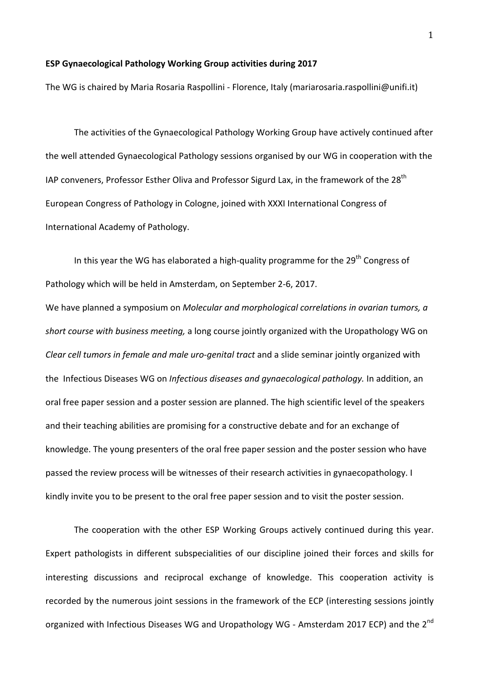## **ESP Gynaecological Pathology Working Group activities during 2017**

The WG is chaired by Maria Rosaria Raspollini - Florence, Italy (mariarosaria.raspollini@unifi.it)

The activities of the Gynaecological Pathology Working Group have actively continued after the well attended Gynaecological Pathology sessions organised by our WG in cooperation with the IAP conveners, Professor Esther Oliva and Professor Sigurd Lax, in the framework of the  $28<sup>th</sup>$ European Congress of Pathology in Cologne, joined with XXXI International Congress of International Academy of Pathology.

In this year the WG has elaborated a high-quality programme for the  $29<sup>th</sup>$  Congress of Pathology which will be held in Amsterdam, on September 2-6, 2017.

We have planned a symposium on *Molecular and morphological correlations in ovarian tumors, a* short course with business meeting, a long course jointly organized with the Uropathology WG on *Clear cell tumors in female and male uro-genital tract* and a slide seminar jointly organized with the Infectious Diseases WG on *Infectious diseases and gynaecological pathology*. In addition, an oral free paper session and a poster session are planned. The high scientific level of the speakers and their teaching abilities are promising for a constructive debate and for an exchange of knowledge. The young presenters of the oral free paper session and the poster session who have passed the review process will be witnesses of their research activities in gynaecopathology. I kindly invite you to be present to the oral free paper session and to visit the poster session.

The cooperation with the other ESP Working Groups actively continued during this year. Expert pathologists in different subspecialities of our discipline joined their forces and skills for interesting discussions and reciprocal exchange of knowledge. This cooperation activity is recorded by the numerous joint sessions in the framework of the ECP (interesting sessions jointly organized with Infectious Diseases WG and Uropathology WG - Amsterdam 2017 ECP) and the 2<sup>nd</sup>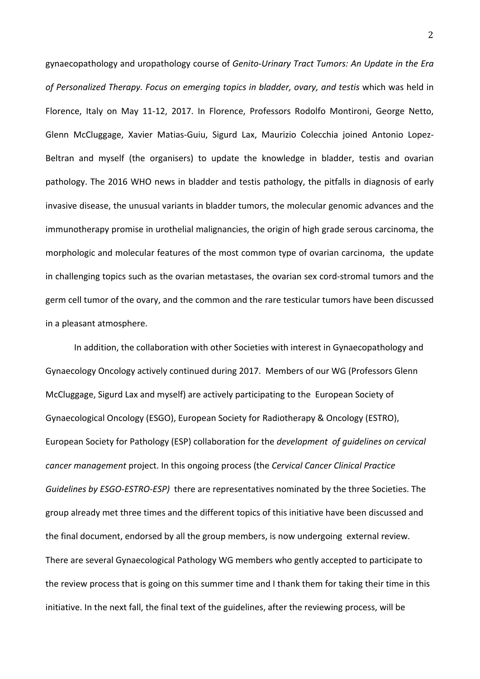gynaecopathology and uropathology course of *Genito-Urinary Tract Tumors: An Update in the Era* of Personalized Therapy. Focus on emerging topics in bladder, ovary, and testis which was held in Florence, Italy on May 11-12, 2017. In Florence, Professors Rodolfo Montironi, George Netto, Glenn McCluggage, Xavier Matias-Guiu, Sigurd Lax, Maurizio Colecchia joined Antonio Lopez-Beltran and myself (the organisers) to update the knowledge in bladder, testis and ovarian pathology. The 2016 WHO news in bladder and testis pathology, the pitfalls in diagnosis of early invasive disease, the unusual variants in bladder tumors, the molecular genomic advances and the immunotherapy promise in urothelial malignancies, the origin of high grade serous carcinoma, the morphologic and molecular features of the most common type of ovarian carcinoma, the update in challenging topics such as the ovarian metastases, the ovarian sex cord-stromal tumors and the germ cell tumor of the ovary, and the common and the rare testicular tumors have been discussed in a pleasant atmosphere.

In addition, the collaboration with other Societies with interest in Gynaecopathology and Gynaecology Oncology actively continued during 2017. Members of our WG (Professors Glenn McCluggage, Sigurd Lax and myself) are actively participating to the European Society of Gynaecological Oncology (ESGO), European Society for Radiotherapy & Oncology (ESTRO), European Society for Pathology (ESP) collaboration for the *development* of *guidelines on cervical cancer management* project. In this ongoing process (the *Cervical Cancer Clinical Practice Guidelines by ESGO-ESTRO-ESP*) there are representatives nominated by the three Societies. The group already met three times and the different topics of this initiative have been discussed and the final document, endorsed by all the group members, is now undergoing external review. There are several Gynaecological Pathology WG members who gently accepted to participate to the review process that is going on this summer time and I thank them for taking their time in this initiative. In the next fall, the final text of the guidelines, after the reviewing process, will be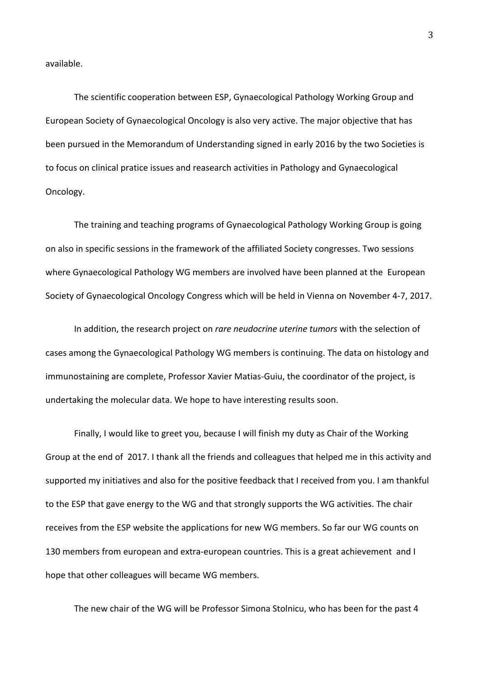available.

The scientific cooperation between ESP, Gynaecological Pathology Working Group and European Society of Gynaecological Oncology is also very active. The major objective that has been pursued in the Memorandum of Understanding signed in early 2016 by the two Societies is to focus on clinical pratice issues and reasearch activities in Pathology and Gynaecological Oncology.

The training and teaching programs of Gynaecological Pathology Working Group is going on also in specific sessions in the framework of the affiliated Society congresses. Two sessions where Gynaecological Pathology WG members are involved have been planned at the European Society of Gynaecological Oncology Congress which will be held in Vienna on November 4-7, 2017.

In addition, the research project on *rare neudocrine uterine tumors* with the selection of cases among the Gynaecological Pathology WG members is continuing. The data on histology and immunostaining are complete, Professor Xavier Matias-Guiu, the coordinator of the project, is undertaking the molecular data. We hope to have interesting results soon.

Finally, I would like to greet you, because I will finish my duty as Chair of the Working Group at the end of 2017. I thank all the friends and colleagues that helped me in this activity and supported my initiatives and also for the positive feedback that I received from you. I am thankful to the ESP that gave energy to the WG and that strongly supports the WG activities. The chair receives from the ESP website the applications for new WG members. So far our WG counts on 130 members from european and extra-european countries. This is a great achievement and I hope that other colleagues will became WG members.

The new chair of the WG will be Professor Simona Stolnicu, who has been for the past 4